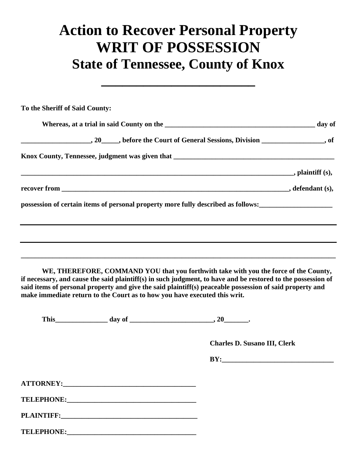## **Action to Recover Personal Property WRIT OF POSSESSION State of Tennessee, County of Knox**

**\_\_\_\_\_\_\_\_\_\_\_\_\_\_\_\_\_\_\_\_\_\_**

| To the Sheriff of Said County: |                                                                                                                                                                                                                                |                                                                                                                                                                                                                                                                                                                  |  |
|--------------------------------|--------------------------------------------------------------------------------------------------------------------------------------------------------------------------------------------------------------------------------|------------------------------------------------------------------------------------------------------------------------------------------------------------------------------------------------------------------------------------------------------------------------------------------------------------------|--|
|                                |                                                                                                                                                                                                                                |                                                                                                                                                                                                                                                                                                                  |  |
|                                |                                                                                                                                                                                                                                | $\hspace{1cm} 20$ , before the Court of General Sessions, Division ___________________, of                                                                                                                                                                                                                       |  |
|                                |                                                                                                                                                                                                                                |                                                                                                                                                                                                                                                                                                                  |  |
|                                |                                                                                                                                                                                                                                |                                                                                                                                                                                                                                                                                                                  |  |
|                                |                                                                                                                                                                                                                                |                                                                                                                                                                                                                                                                                                                  |  |
|                                |                                                                                                                                                                                                                                | possession of certain items of personal property more fully described as follows:<br><u>equal</u>                                                                                                                                                                                                                |  |
|                                |                                                                                                                                                                                                                                |                                                                                                                                                                                                                                                                                                                  |  |
|                                |                                                                                                                                                                                                                                |                                                                                                                                                                                                                                                                                                                  |  |
|                                | make immediate return to the Court as to how you have executed this writ.                                                                                                                                                      | WE, THEREFORE, COMMAND YOU that you forthwith take with you the force of the County,<br>if necessary, and cause the said plaintiff(s) in such judgment, to have and be restored to the possession of<br>said items of personal property and give the said plaintiff(s) peaceable possession of said property and |  |
|                                |                                                                                                                                                                                                                                |                                                                                                                                                                                                                                                                                                                  |  |
|                                |                                                                                                                                                                                                                                | <b>Charles D. Susano III, Clerk</b>                                                                                                                                                                                                                                                                              |  |
|                                |                                                                                                                                                                                                                                | BY:                                                                                                                                                                                                                                                                                                              |  |
|                                |                                                                                                                                                                                                                                |                                                                                                                                                                                                                                                                                                                  |  |
|                                |                                                                                                                                                                                                                                |                                                                                                                                                                                                                                                                                                                  |  |
|                                |                                                                                                                                                                                                                                |                                                                                                                                                                                                                                                                                                                  |  |
|                                | TELEPHONE: 2000 CONTENTS AND THE CONTENTS OF THE CONTENTS OF THE CONTENTS OF THE CONTENTS OF THE CONTENTS OF THE CONTENTS OF THE CONTENTS OF THE CONTENTS OF THE CONTENTS OF THE CONTENTS OF THE CONTENTS OF THE CONTENTS OF T |                                                                                                                                                                                                                                                                                                                  |  |